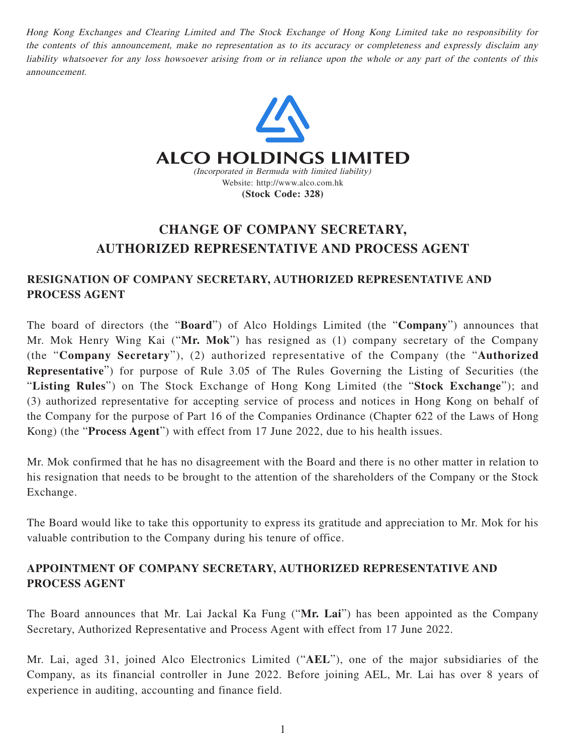Hong Kong Exchanges and Clearing Limited and The Stock Exchange of Hong Kong Limited take no responsibility for the contents of this announcement, make no representation as to its accuracy or completeness and expressly disclaim any liability whatsoever for any loss howsoever arising from or in reliance upon the whole or any part of the contents of this announcement.



## **CHANGE OF COMPANY SECRETARY, AUTHORIZED REPRESENTATIVE AND PROCESS AGENT**

## **RESIGNATION OF COMPANY SECRETARY, AUTHORIZED REPRESENTATIVE AND PROCESS AGENT**

The board of directors (the "**Board**") of Alco Holdings Limited (the "**Company**") announces that Mr. Mok Henry Wing Kai ("**Mr. Mok**") has resigned as (1) company secretary of the Company (the "**Company Secretary**"), (2) authorized representative of the Company (the "**Authorized Representative**") for purpose of Rule 3.05 of The Rules Governing the Listing of Securities (the "**Listing Rules**") on The Stock Exchange of Hong Kong Limited (the "**Stock Exchange**"); and (3) authorized representative for accepting service of process and notices in Hong Kong on behalf of the Company for the purpose of Part 16 of the Companies Ordinance (Chapter 622 of the Laws of Hong Kong) (the "**Process Agent**") with effect from 17 June 2022, due to his health issues.

Mr. Mok confirmed that he has no disagreement with the Board and there is no other matter in relation to his resignation that needs to be brought to the attention of the shareholders of the Company or the Stock Exchange.

The Board would like to take this opportunity to express its gratitude and appreciation to Mr. Mok for his valuable contribution to the Company during his tenure of office.

## **APPOINTMENT OF COMPANY SECRETARY, AUTHORIZED REPRESENTATIVE AND PROCESS AGENT**

The Board announces that Mr. Lai Jackal Ka Fung ("**Mr. Lai**") has been appointed as the Company Secretary, Authorized Representative and Process Agent with effect from 17 June 2022.

Mr. Lai, aged 31, joined Alco Electronics Limited ("**AEL**"), one of the major subsidiaries of the Company, as its financial controller in June 2022. Before joining AEL, Mr. Lai has over 8 years of experience in auditing, accounting and finance field.